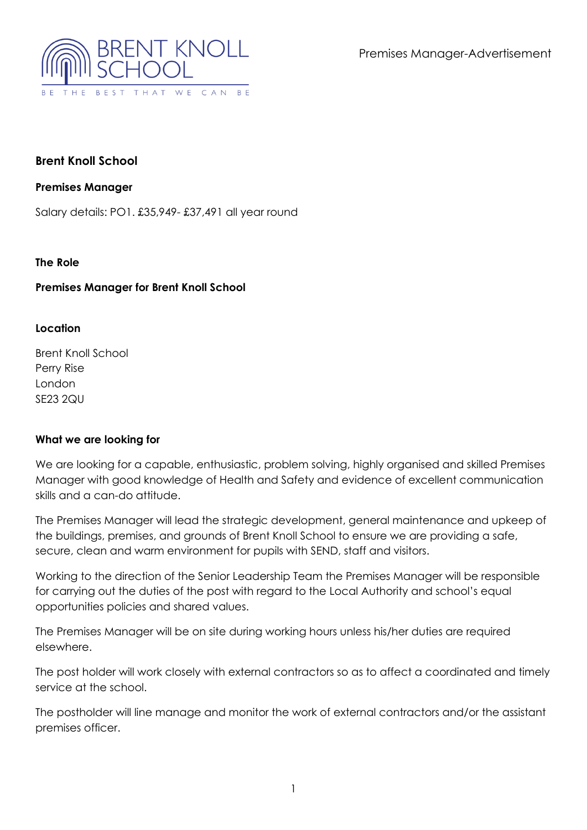Premises Manager-Advertisement



# **Brent Knoll School**

## **Premises Manager**

Salary details: PO1. £35,949- £37,491 all year round

## **The Role**

## **Premises Manager for Brent Knoll School**

## **Location**

Brent Knoll School Perry Rise London SE23 2QU

## **What we are looking for**

We are looking for a capable, enthusiastic, problem solving, highly organised and skilled Premises Manager with good knowledge of Health and Safety and evidence of excellent communication skills and a can-do attitude.

The Premises Manager will lead the strategic development, general maintenance and upkeep of the buildings, premises, and grounds of Brent Knoll School to ensure we are providing a safe, secure, clean and warm environment for pupils with SEND, staff and visitors.

Working to the direction of the Senior Leadership Team the Premises Manager will be responsible for carrying out the duties of the post with regard to the Local Authority and school's equal opportunities policies and shared values.

The Premises Manager will be on site during working hours unless his/her duties are required elsewhere.

The post holder will work closely with external contractors so as to affect a coordinated and timely service at the school.

The postholder will line manage and monitor the work of external contractors and/or the assistant premises officer.